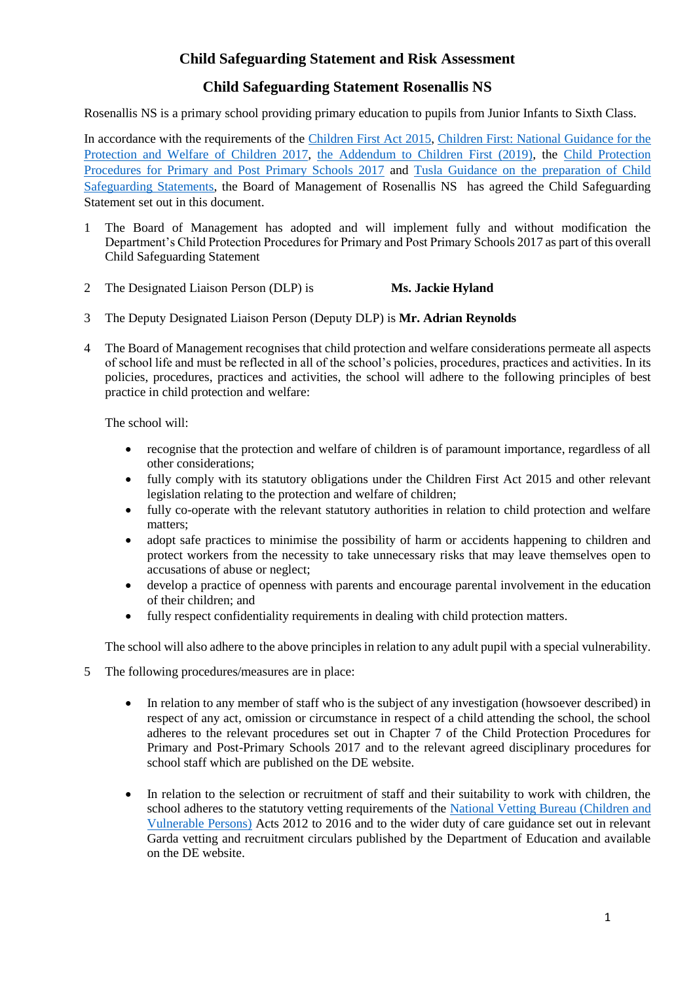## **Child Safeguarding Statement and Risk Assessment**

### **Child Safeguarding Statement Rosenallis NS**

Rosenallis NS is a primary school providing primary education to pupils from Junior Infants to Sixth Class.

In accordance with the requirements of the [Children First Act 2015,](http://www.irishstatutebook.ie/eli/2015/act/36/enacted/en/pdf) [Children First: National Guidance for the](https://assets.gov.ie/25844/b90aafa55804462f84d05f87f0ca2bf6.pdf)  [Protection and Welfare of Children 2017,](https://assets.gov.ie/25844/b90aafa55804462f84d05f87f0ca2bf6.pdf) [the Addendum to Children First \(2019\),](https://assets.gov.ie/25819/c9744b64dfd6447985eeffa5c0d71bbb.pdf) the [Child Protection](https://www.gov.ie/pdf/?file=https://assets.gov.ie/45063/2d4b5b3d781e4ec1ab4f3e5d198717d9.pdf#page=1)  [Procedures for Primary and Post Primary Schools 2017](https://www.gov.ie/pdf/?file=https://assets.gov.ie/45063/2d4b5b3d781e4ec1ab4f3e5d198717d9.pdf#page=1) and [Tusla Guidance on the preparation of Child](https://www.tusla.ie/uploads/content/4214-TUSLA_Guidance_on_Developing_a_CSS_LR.PDF)  [Safeguarding Statements,](https://www.tusla.ie/uploads/content/4214-TUSLA_Guidance_on_Developing_a_CSS_LR.PDF) the Board of Management of Rosenallis NS has agreed the Child Safeguarding Statement set out in this document.

- 1 The Board of Management has adopted and will implement fully and without modification the Department's Child Protection Procedures for Primary and Post Primary Schools 2017 as part of this overall Child Safeguarding Statement
- 2 The Designated Liaison Person (DLP) is **Ms. Jackie Hyland**
- 3 The Deputy Designated Liaison Person (Deputy DLP) is **Mr. Adrian Reynolds**
- 4 The Board of Management recognises that child protection and welfare considerations permeate all aspects of school life and must be reflected in all of the school's policies, procedures, practices and activities. In its policies, procedures, practices and activities, the school will adhere to the following principles of best practice in child protection and welfare:

The school will:

- recognise that the protection and welfare of children is of paramount importance, regardless of all other considerations;
- fully comply with its statutory obligations under the Children First Act 2015 and other relevant legislation relating to the protection and welfare of children;
- fully co-operate with the relevant statutory authorities in relation to child protection and welfare matters;
- adopt safe practices to minimise the possibility of harm or accidents happening to children and protect workers from the necessity to take unnecessary risks that may leave themselves open to accusations of abuse or neglect;
- develop a practice of openness with parents and encourage parental involvement in the education of their children; and
- fully respect confidentiality requirements in dealing with child protection matters.

The school will also adhere to the above principles in relation to any adult pupil with a special vulnerability.

- 5 The following procedures/measures are in place:
	- In relation to any member of staff who is the subject of any investigation (howsoever described) in respect of any act, omission or circumstance in respect of a child attending the school, the school adheres to the relevant procedures set out in Chapter 7 of the Child Protection Procedures for Primary and Post-Primary Schools 2017 and to the relevant agreed disciplinary procedures for school staff which are published on the DE website.
	- In relation to the selection or recruitment of staff and their suitability to work with children, the school adheres to the statutory vetting requirements of the National Vetting Bureau (Children and [Vulnerable Persons\)](https://revisedacts.lawreform.ie/eli/2012/act/47/revised/en/pdf) Acts 2012 to 2016 and to the wider duty of care guidance set out in relevant Garda vetting and recruitment circulars published by the Department of Education and available on the DE website.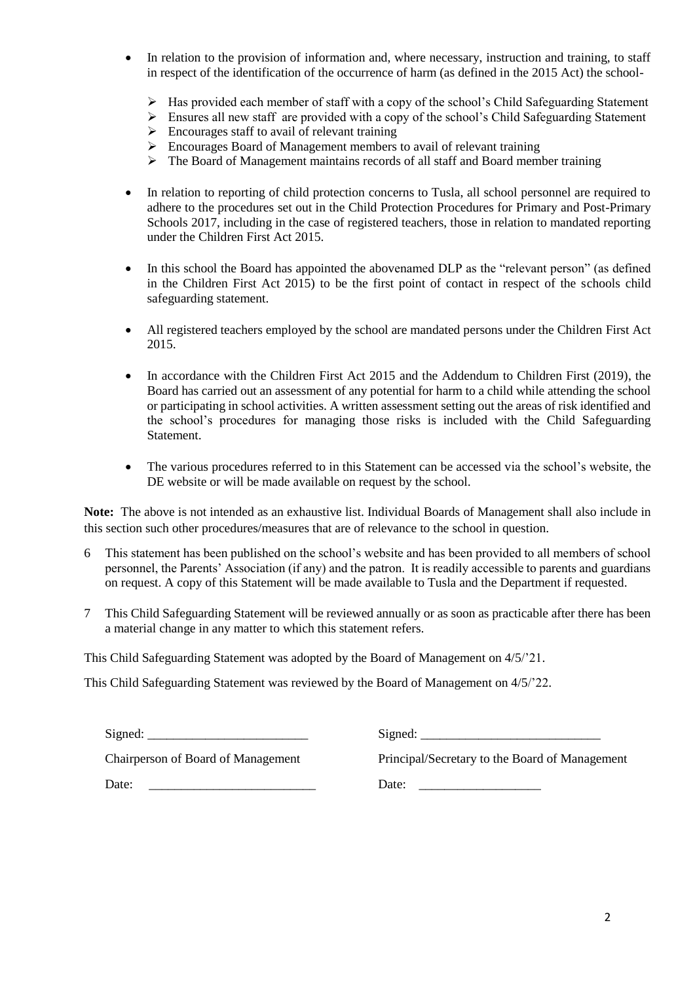- In relation to the provision of information and, where necessary, instruction and training, to staff in respect of the identification of the occurrence of harm (as defined in the 2015 Act) the school-
	- Has provided each member of staff with a copy of the school's Child Safeguarding Statement
	- $\triangleright$  Ensures all new staff are provided with a copy of the school's Child Safeguarding Statement
	- $\triangleright$  Encourages staff to avail of relevant training
	- Encourages Board of Management members to avail of relevant training
	- $\triangleright$  The Board of Management maintains records of all staff and Board member training
- In relation to reporting of child protection concerns to Tusla, all school personnel are required to adhere to the procedures set out in the Child Protection Procedures for Primary and Post-Primary Schools 2017, including in the case of registered teachers, those in relation to mandated reporting under the Children First Act 2015.
- In this school the Board has appointed the abovenamed DLP as the "relevant person" (as defined in the Children First Act 2015) to be the first point of contact in respect of the schools child safeguarding statement.
- All registered teachers employed by the school are mandated persons under the Children First Act 2015.
- In accordance with the Children First Act 2015 and the Addendum to Children First (2019), the Board has carried out an assessment of any potential for harm to a child while attending the school or participating in school activities. A written assessment setting out the areas of risk identified and the school's procedures for managing those risks is included with the Child Safeguarding Statement.
- The various procedures referred to in this Statement can be accessed via the school's website, the DE website or will be made available on request by the school.

**Note:** The above is not intended as an exhaustive list. Individual Boards of Management shall also include in this section such other procedures/measures that are of relevance to the school in question.

- 6 This statement has been published on the school's website and has been provided to all members of school personnel, the Parents' Association (if any) and the patron. It is readily accessible to parents and guardians on request. A copy of this Statement will be made available to Tusla and the Department if requested.
- 7 This Child Safeguarding Statement will be reviewed annually or as soon as practicable after there has been a material change in any matter to which this statement refers.

This Child Safeguarding Statement was adopted by the Board of Management on 4/5/'21.

This Child Safeguarding Statement was reviewed by the Board of Management on 4/5/'22.

| Signed:                            | Signed:                                        |
|------------------------------------|------------------------------------------------|
| Chairperson of Board of Management | Principal/Secretary to the Board of Management |
| Date:                              | Date:                                          |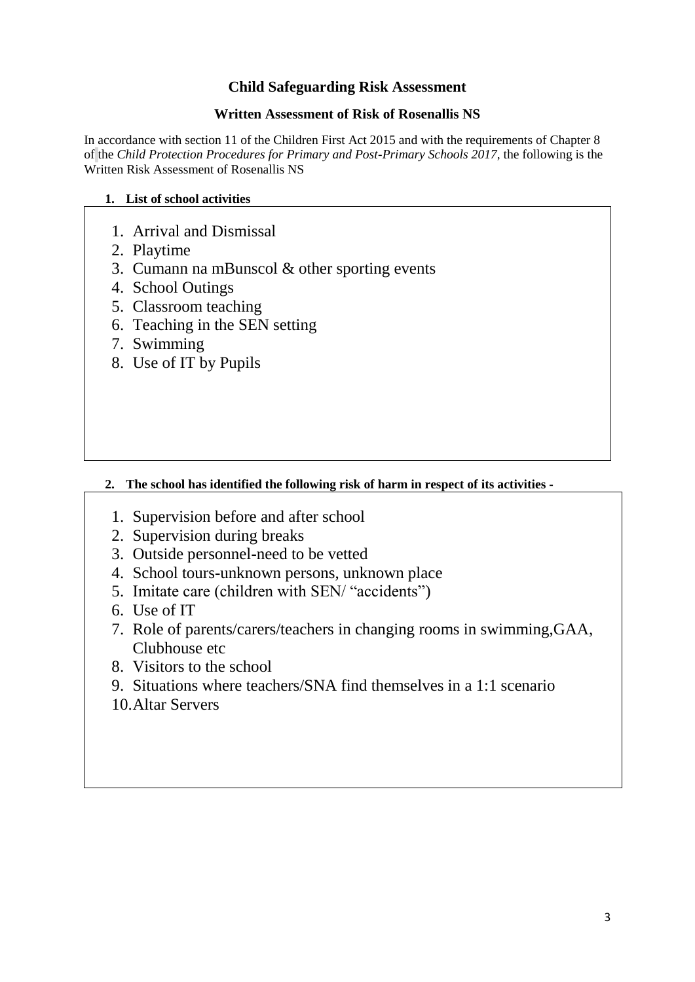# **Child Safeguarding Risk Assessment**

### **Written Assessment of Risk of Rosenallis NS**

In accordance with section 11 of the Children First Act 2015 and with the requirements of Chapter 8 of the *Child Protection Procedures for Primary and Post-Primary Schools 2017*, the following is the Written Risk Assessment of Rosenallis NS

### **1. List of school activities**

- 1. Arrival and Dismissal
- 2. Playtime
- 3. Cumann na mBunscol & other sporting events
- 4. School Outings
- 5. Classroom teaching
- 6. Teaching in the SEN setting
- 7. Swimming
- 8. Use of IT by Pupils

## **2. The school has identified the following risk of harm in respect of its activities -**

- 1. Supervision before and after school
- 2. Supervision during breaks
- 3. Outside personnel-need to be vetted
- 4. School tours-unknown persons, unknown place
- 5. Imitate care (children with SEN/ "accidents")
- 6. Use of IT
- 7. Role of parents/carers/teachers in changing rooms in swimming,GAA, Clubhouse etc
- 8. Visitors to the school
- 9. Situations where teachers/SNA find themselves in a 1:1 scenario
- 10.Altar Servers